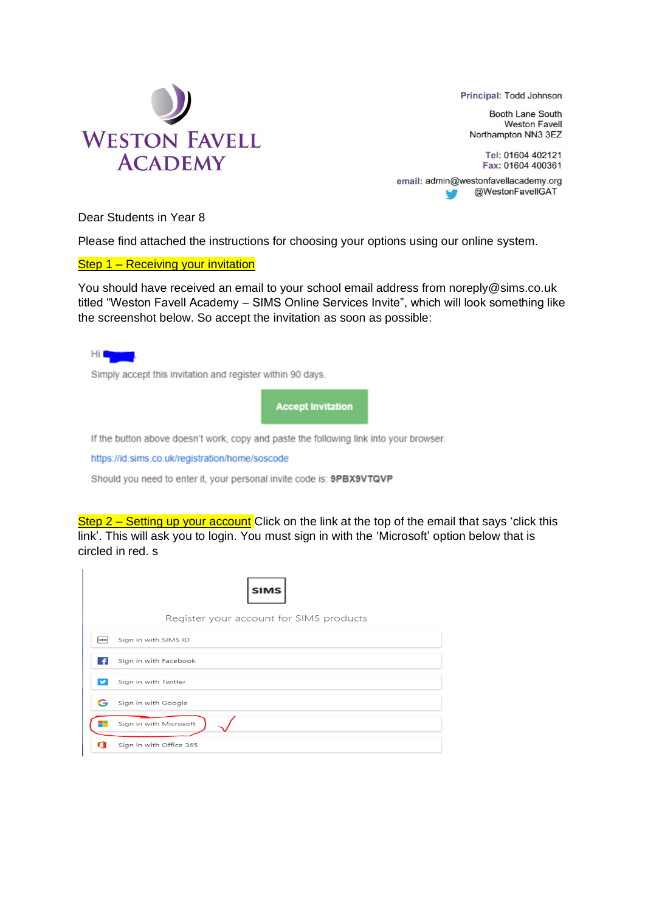

Principal: Todd Johnson

**Booth Lane South Weston Favell** Northampton NN3 3EZ

Tel: 01604 402121 Fax: 01604 400361

email: admin@westonfavellacademy.org @WestonFavelIGAT ÷

Dear Students in Year 8

Please find attached the instructions for choosing your options using our online system.

Step 1 – Receiving your invitation

You should have received an email to your school email address from noreply@sims.co.uk titled "Weston Favell Academy – SIMS Online Services Invite", which will look something like the screenshot below. So accept the invitation as soon as possible:

Simply accept this invitation and register within 90 days.

**Accept Invitation** 

If the button above doesn't work, copy and paste the following link into your browser.

https://id.sims.co.uk/registration/home/soscode

Should you need to enter it, your personal invite code is: 9PBX9VTQVP

Step 2 – Setting up your account Click on the link at the top of the email that says 'click this link'. This will ask you to login. You must sign in with the 'Microsoft' option below that is circled in red. s

|             | <b>SIMS</b>                             |
|-------------|-----------------------------------------|
|             | Register your account for SIMS products |
| <b>SIMS</b> | Sign in with SIMS ID                    |
| ÷           | Sign in with Facebook                   |
|             | Sign in with Twitter                    |
| G           | Sign in with Google                     |
|             | Sign in with Microsoft                  |
| л           | Sign in with Office 365                 |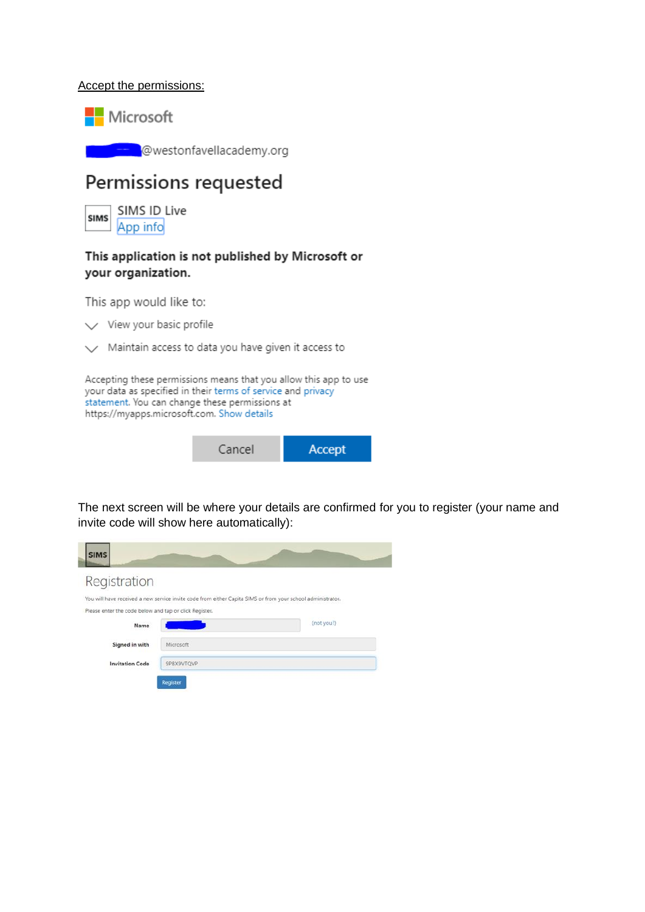## Accept the permissions:



@westonfavellacademy.org

## Permissions requested

SIMS ID Live **SIMS** App info

## This application is not published by Microsoft or your organization.

This app would like to:

 $\vee$  View your basic profile

 $\vee$  Maintain access to data you have given it access to

Accepting these permissions means that you allow this app to use your data as specified in their terms of service and privacy statement. You can change these permissions at https://myapps.microsoft.com. Show details



The next screen will be where your details are confirmed for you to register (your name and invite code will show here automatically):

|            | You will have received a new service invite code from either Capita SIMS or from your school administrator. |
|------------|-------------------------------------------------------------------------------------------------------------|
|            |                                                                                                             |
|            | (not you?)                                                                                                  |
| Microsoft  |                                                                                                             |
| 9PBX9VTOVP |                                                                                                             |
|            | Please enter the code below and tap or click Register.                                                      |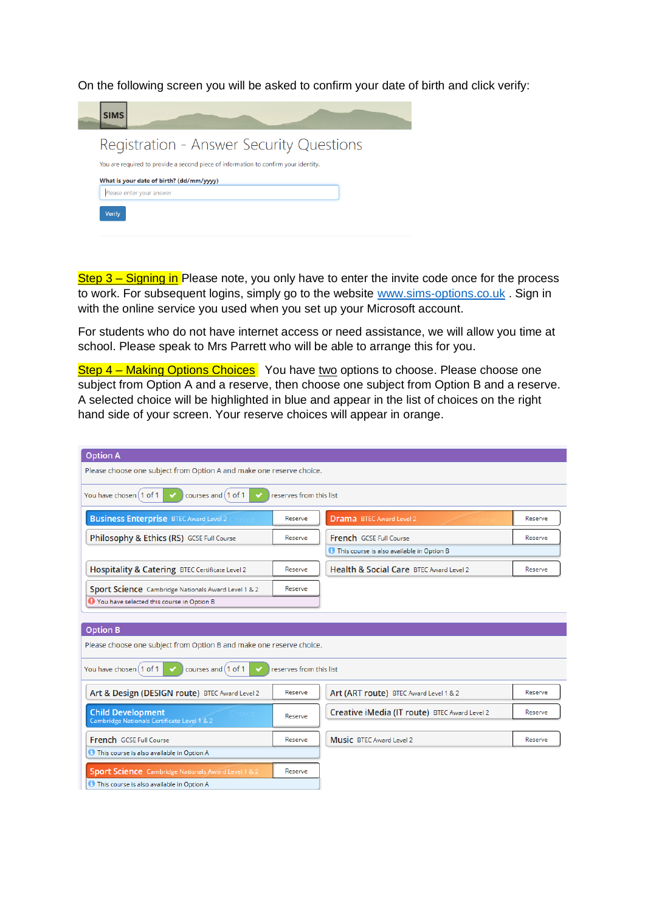On the following screen you will be asked to confirm your date of birth and click verify:

| <b>SIMS</b> |                                                                                     |  |  |
|-------------|-------------------------------------------------------------------------------------|--|--|
|             | Registration - Answer Security Questions                                            |  |  |
|             | You are required to provide a second piece of information to confirm your identity. |  |  |
|             |                                                                                     |  |  |
|             | What is your date of birth? (dd/mm/yyyy)                                            |  |  |

Step 3 – Signing in Please note, you only have to enter the invite code once for the process to work. For subsequent logins, simply go to the website www.sims-[options.co.uk](http://www.sims‐options.co.uk/). Sign in with the online service you used when you set up your Microsoft account.

For students who do not have internet access or need assistance, we will allow you time at school. Please speak to Mrs Parrett who will be able to arrange this for you.

Step 4 – Making Options Choices You have two options to choose. Please choose one subject from Option A and a reserve, then choose one subject from Option B and a reserve. A selected choice will be highlighted in blue and appear in the list of choices on the right hand side of your screen. Your reserve choices will appear in orange.

| <b>Option A</b>                                                            |                         |                                                    |         |  |  |  |
|----------------------------------------------------------------------------|-------------------------|----------------------------------------------------|---------|--|--|--|
| Please choose one subject from Option A and make one reserve choice.       |                         |                                                    |         |  |  |  |
| You have chosen [1 of 1<br>courses and [1 of 1]<br>reserves from this list |                         |                                                    |         |  |  |  |
| <b>Business Enterprise BTEC Award Level 2</b>                              | Reserve                 | <b>Drama</b> BTEC Award Level 2                    | Reserve |  |  |  |
| Philosophy & Ethics (RS) GCSE Full Course                                  | Reserve                 | French GCSE Full Course                            | Reserve |  |  |  |
|                                                                            |                         | <b>1</b> This course is also available in Option B |         |  |  |  |
| Hospitality & Catering BTEC Certificate Level 2                            | Reserve                 | Health & Social Care BTEC Award Level 2            | Reserve |  |  |  |
| Sport Science Cambridge Nationals Award Level 1 & 2                        | Reserve                 |                                                    |         |  |  |  |
| <b>O</b> You have selected this course in Option B                         |                         |                                                    |         |  |  |  |
|                                                                            |                         |                                                    |         |  |  |  |
| <b>Option B</b>                                                            |                         |                                                    |         |  |  |  |
| Please choose one subject from Option B and make one reserve choice.       |                         |                                                    |         |  |  |  |
| You have chosen [1 of 1]<br>courses and [1 of 1]                           | reserves from this list |                                                    |         |  |  |  |
| Art & Design (DESIGN route) BTEC Award Level 2                             | Reserve                 | Art (ART route) BTEC Award Level 1 & 2             | Reserve |  |  |  |
| <b>Child Development</b><br>Cambridge Nationals Certificate Level 1 & 2    | Reserve                 | Creative iMedia (IT route) BTEC Award Level 2      | Reserve |  |  |  |
| French GCSE Full Course                                                    | Reserve                 | Music BTEC Award Level 2                           | Reserve |  |  |  |
| <b>O</b> This course is also available in Option A                         |                         |                                                    |         |  |  |  |
| <b>Sport Science</b> Cambridge Nationals Award Level 1 & 2                 | Reserve                 |                                                    |         |  |  |  |
| <b>O</b> This course is also available in Option A                         |                         |                                                    |         |  |  |  |